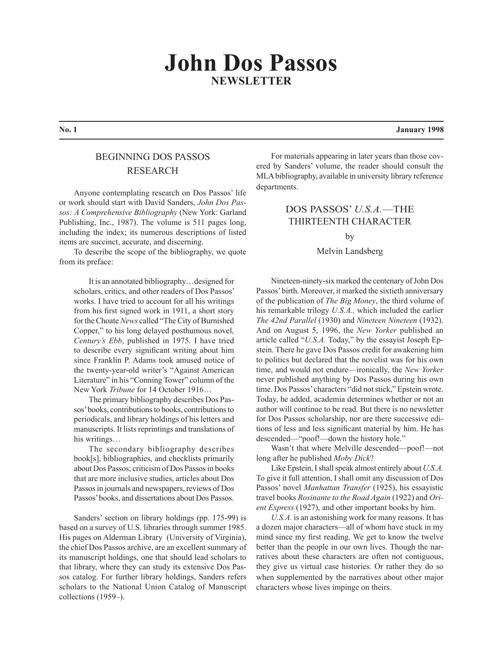# **John Dos Passos NEWSLETTER**

## BEGINNING DOS PASSOS RESEARCH

Anyone contemplating research on Dos Passos' life or work should start with David Sanders, *John Dos Passos: A Comprehensive Bibliography* (New York: Garland Publishing, Inc., 1987). The volume is 511 pages long, including the index; its numerous descriptions of listed items are succinct, accurate, and discerning.

To describe the scope of the bibliography, we quote from its preface:

It is an annotated bibliography…designed for scholars, critics, and other readers of Dos Passos' works. I have tried to account for all his writings from his first signed work in 1911, a short story for the Choate *News* called "The City of Burnished Copper," to his long delayed posthumous novel, *Century's Ebb*, published in 1975. I have tried to describe every significant writing about him since Franklin P. Adams took amused notice of the twenty-year-old writer's "Against American Literature" in his "Conning Tower" column of the New York *Tribune* for 14 October 1916…

The primary bibliography describes Dos Passos' books, contributions to books, contributions to periodicals, and library holdings of his letters and manuscripts. It lists reprintings and translations of his writings…

The secondary bibliography describes book[s], bibliographies, and checklists primarily about Dos Passos; criticism of Dos Passos in books that are more inclusive studies, articles about Dos Passos in journals and newspapers, reviews of Dos Passos' books, and dissertations about Dos Passos.

Sanders' section on library holdings (pp. 175-99) is based on a survey of U.S. libraries through summer 1985. His pages on Alderman Library (University of Virginia), the chief Dos Passos archive, are an excellent summary of its manuscript holdings, one that should lead scholars to that library, where they can study its extensive Dos Passos catalog. For further library holdings, Sanders refers scholars to the National Union Catalog of Manuscript collections (1959–).

For materials appearing in later years than those covered by Sanders' volume, the reader should consult the MLA bibliography, available in university library reference departments.

# DOS PASSOS' *U.S.A.*—THE THIRTEENTH CHARACTER by

#### Melvin Landsberg

Nineteen-ninety-six marked the centenary of John Dos Passos' birth. Moreover, it marked the sixtieth anniversary of the publication of *The Big Money*, the third volume of his remarkable trilogy *U.S.A.,* which included the earlier *The 42nd Parallel* (1930) and *Nineteen Nineteen* (1932). And on August 5, 1996, the *New Yorker* published an article called "*U.S.A.* Today," by the essayist Joseph Epstein. There he gave Dos Passos credit for awakening him to politics but declared that the novelist was for his own time, and would not endure—ironically, the *New Yorker* never published anything by Dos Passos during his own time. Dos Passos' characters "did not stick," Epstein wrote. Today, he added, academia determines whether or not an author will continue to be read. But there is no newsletter for Dos Passos scholarship, nor are there successive editions of less and less significant material by him. He has descended—"poof!—down the history hole."

Wasn't that where Melville descended—poof!—not long after he published *Moby Dick*?

Like Epstein, I shall speak almost entirely about *U.S.A.* To give it full attention, I shall omit any discussion of Dos Passos' novel *Manhattan Transfer* (1925), his essayistic travel books *Rosinante to the Road Again* (1922) and *Orient Express* (1927), and other important books by him.

*U.S.A.* is an astonishing work for many reasons. It has a dozen major characters—all of whom have stuck in my mind since my first reading. We get to know the twelve better than the people in our own lives. Though the narratives about these characters are often not contiguous, they give us virtual case histories. Or rather they do so when supplemented by the narratives about other major characters whose lives impinge on theirs.

**No. 1 January 1998**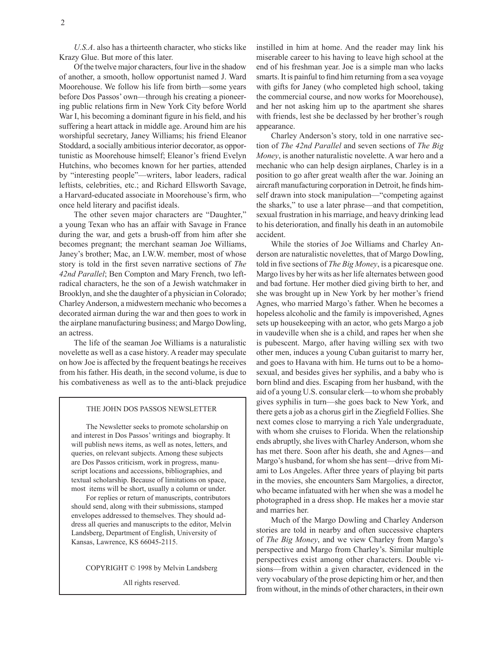*U.S.A*. also has a thirteenth character, who sticks like Krazy Glue. But more of this later.

Of the twelve major characters, four live in the shadow of another, a smooth, hollow opportunist named J. Ward Moorehouse. We follow his life from birth—some years before Dos Passos' own—through his creating a pioneering public relations firm in New York City before World War I, his becoming a dominant figure in his field, and his suffering a heart attack in middle age. Around him are his worshipful secretary, Janey Williams; his friend Eleanor Stoddard, a socially ambitious interior decorator, as opportunistic as Moorehouse himself; Eleanor's friend Evelyn Hutchins, who becomes known for her parties, attended by "interesting people"—writers, labor leaders, radical leftists, celebrities, etc.; and Richard Ellsworth Savage, a Harvard-educated associate in Moorehouse's firm, who once held literary and pacifist ideals.

The other seven major characters are "Daughter," a young Texan who has an affair with Savage in France during the war, and gets a brush-off from him after she becomes pregnant; the merchant seaman Joe Williams, Janey's brother; Mac, an I.W.W. member, most of whose story is told in the first seven narrative sections of *The 42nd Parallel*; Ben Compton and Mary French, two leftradical characters, he the son of a Jewish watchmaker in Brooklyn, and she the daughter of a physician in Colorado; Charley Anderson, a midwestern mechanic who becomes a decorated airman during the war and then goes to work in the airplane manufacturing business; and Margo Dowling, an actress.

The life of the seaman Joe Williams is a naturalistic novelette as well as a case history. A reader may speculate on how Joe is affected by the frequent beatings he receives from his father. His death, in the second volume, is due to his combativeness as well as to the anti-black prejudice

#### THE JOHN DOS PASSOS NEWSLETTER

The Newsletter seeks to promote scholarship on and interest in Dos Passos' writings and biography. It will publish news items, as well as notes, letters, and queries, on relevant subjects. Among these subjects are Dos Passos criticism, work in progress, manuscript locations and accessions, bibliographies, and textual scholarship. Because of limitations on space, most items will be short, usually a column or under.

For replies or return of manuscripts, contributors should send, along with their submissions, stamped envelopes addressed to themselves. They should address all queries and manuscripts to the editor, Melvin Landsberg, Department of English, University of Kansas, Lawrence, KS 66045-2115.

COPYRIGHT © 1998 by Melvin Landsberg

All rights reserved.

instilled in him at home. And the reader may link his miserable career to his having to leave high school at the end of his freshman year. Joe is a simple man who lacks smarts. It is painful to find him returning from a sea voyage with gifts for Janey (who completed high school, taking the commercial course, and now works for Moorehouse), and her not asking him up to the apartment she shares with friends, lest she be declassed by her brother's rough appearance.

Charley Anderson's story, told in one narrative section of *The 42nd Parallel* and seven sections of *The Big Money*, is another naturalistic novelette. A war hero and a mechanic who can help design airplanes, Charley is in a position to go after great wealth after the war. Joining an aircraft manufacturing corporation in Detroit, he finds himself drawn into stock manipulation—"competing against the sharks," to use a later phrase—and that competition, sexual frustration in his marriage, and heavy drinking lead to his deterioration, and finally his death in an automobile accident.

While the stories of Joe Williams and Charley Anderson are naturalistic novelettes, that of Margo Dowling, told in five sections of *The Big Money*, is a picaresque one. Margo lives by her wits as her life alternates between good and bad fortune. Her mother died giving birth to her, and she was brought up in New York by her mother's friend Agnes, who married Margo's father. When he becomes a hopeless alcoholic and the family is impoverished, Agnes sets up housekeeping with an actor, who gets Margo a job in vaudeville when she is a child, and rapes her when she is pubescent. Margo, after having willing sex with two other men, induces a young Cuban guitarist to marry her, and goes to Havana with him. He turns out to be a homosexual, and besides gives her syphilis, and a baby who is born blind and dies. Escaping from her husband, with the aid of a young U.S. consular clerk—to whom she probably gives syphilis in turn—she goes back to New York, and there gets a job as a chorus girl in the Ziegfield Follies. She next comes close to marrying a rich Yale undergraduate, with whom she cruises to Florida. When the relationship ends abruptly, she lives with Charley Anderson, whom she has met there. Soon after his death, she and Agnes—and Margo's husband, for whom she has sent—drive from Miami to Los Angeles. After three years of playing bit parts in the movies, she encounters Sam Margolies, a director, who became infatuated with her when she was a model he photographed in a dress shop. He makes her a movie star and marries her.

Much of the Margo Dowling and Charley Anderson stories are told in nearby and often successive chapters of *The Big Money*, and we view Charley from Margo's perspective and Margo from Charley's. Similar multiple perspectives exist among other characters. Double visions—from within a given character, evidenced in the very vocabulary of the prose depicting him or her, and then from without, in the minds of other characters, in their own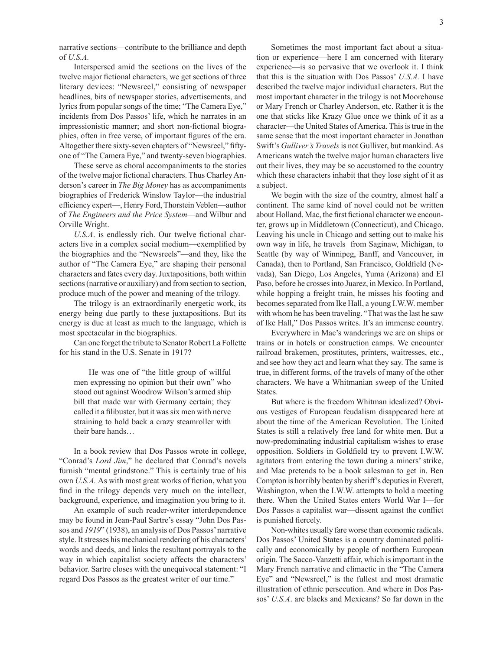narrative sections—contribute to the brilliance and depth of *U.S.A.*

Interspersed amid the sections on the lives of the twelve major fictional characters, we get sections of three literary devices: "Newsreel," consisting of newspaper headlines, bits of newspaper stories, advertisements, and lyrics from popular songs of the time; "The Camera Eye," incidents from Dos Passos' life, which he narrates in an impressionistic manner; and short non-fictional biographies, often in free verse, of important figures of the era. Altogether there sixty-seven chapters of "Newsreel," fiftyone of "The Camera Eye," and twenty-seven biographies.

These serve as choral accompaniments to the stories of the twelve major fictional characters. Thus Charley Anderson's career in *The Big Money* has as accompaniments biographies of Frederick Winslow Taylor—the industrial efficiency expert—, Henry Ford, Thorstein Veblen—author of *The Engineers and the Price System*—and Wilbur and Orville Wright.

*U.S.A*. is endlessly rich. Our twelve fictional characters live in a complex social medium—exemplified by the biographies and the "Newsreels"—and they, like the author of "The Camera Eye," are shaping their personal characters and fates every day. Juxtapositions, both within sections (narrative or auxiliary) and from section to section, produce much of the power and meaning of the trilogy.

The trilogy is an extraordinarily energetic work, its energy being due partly to these juxtapositions. But its energy is due at least as much to the language, which is most spectacular in the biographies.

Can one forget the tribute to Senator Robert La Follette for his stand in the U.S. Senate in 1917?

He was one of "the little group of willful men expressing no opinion but their own" who stood out against Woodrow Wilson's armed ship bill that made war with Germany certain; they called it a filibuster, but it was six men with nerve straining to hold back a crazy steamroller with their bare hands…

In a book review that Dos Passos wrote in college, "Conrad's *Lord Jim*," he declared that Conrad's novels furnish "mental grindstone." This is certainly true of his own *U.S.A.* As with most great works of fiction, what you find in the trilogy depends very much on the intellect, background, experience, and imagination you bring to it.

An example of such reader-writer interdependence may be found in Jean-Paul Sartre's essay "John Dos Passos and *1919*" (1938), an analysis of Dos Passos' narrative style. It stresses his mechanical rendering of his characters' words and deeds, and links the resultant portrayals to the way in which capitalist society affects the characters' behavior. Sartre closes with the unequivocal statement: "I regard Dos Passos as the greatest writer of our time."

Sometimes the most important fact about a situation or experience—here I am concerned with literary experience—is so pervasive that we overlook it. I think that this is the situation with Dos Passos' *U.S.A.* I have described the twelve major individual characters. But the most important character in the trilogy is not Moorehouse or Mary French or Charley Anderson, etc. Rather it is the one that sticks like Krazy Glue once we think of it as a character—the United States of America. This is true in the same sense that the most important character in Jonathan Swift's *Gulliver's Travels* is not Gulliver, but mankind. As Americans watch the twelve major human characters live out their lives, they may be so accustomed to the country which these characters inhabit that they lose sight of it as a subject.

We begin with the size of the country, almost half a continent. The same kind of novel could not be written about Holland. Mac, the first fictional character we encounter, grows up in Middletown (Connecticut), and Chicago. Leaving his uncle in Chicago and setting out to make his own way in life, he travels from Saginaw, Michigan, to Seattle (by way of Winnipeg, Banff, and Vancouver, in Canada), then to Portland, San Francisco, Goldfield (Nevada), San Diego, Los Angeles, Yuma (Arizona) and El Paso, before he crosses into Juarez, in Mexico. In Portland, while hopping a freight train, he misses his footing and becomes separated from Ike Hall, a young I.W.W. member with whom he has been traveling. "That was the last he saw of Ike Hall," Dos Passos writes. It's an immense country.

Everywhere in Mac's wanderings we are on ships or trains or in hotels or construction camps. We encounter railroad brakemen, prostitutes, printers, waitresses, etc., and see how they act and learn what they say. The same is true, in different forms, of the travels of many of the other characters. We have a Whitmanian sweep of the United States.

But where is the freedom Whitman idealized? Obvious vestiges of European feudalism disappeared here at about the time of the American Revolution. The United States is still a relatively free land for white men. But a now-predominating industrial capitalism wishes to erase opposition. Soldiers in Goldfield try to prevent I.W.W. agitators from entering the town during a miners' strike, and Mac pretends to be a book salesman to get in. Ben Compton is horribly beaten by sheriff's deputies in Everett, Washington, when the I.W.W. attempts to hold a meeting there. When the United States enters World War I—for Dos Passos a capitalist war—dissent against the conflict is punished fiercely.

Non-whites usually fare worse than economic radicals. Dos Passos' United States is a country dominated politically and economically by people of northern European origin. The Sacco-Vanzetti affair, which is important in the Mary French narrative and climactic in the "The Camera Eye" and "Newsreel," is the fullest and most dramatic illustration of ethnic persecution. And where in Dos Passos' *U.S.A*. are blacks and Mexicans? So far down in the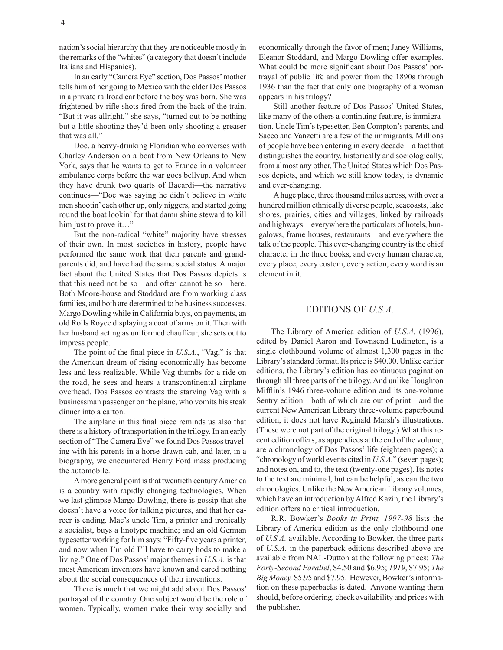nation's social hierarchy that they are noticeable mostly in the remarks of the "whites" (a category that doesn't include Italians and Hispanics).

In an early "Camera Eye" section, Dos Passos' mother tells him of her going to Mexico with the elder Dos Passos in a private railroad car before the boy was born. She was frightened by rifle shots fired from the back of the train. "But it was allright," she says, "turned out to be nothing but a little shooting they'd been only shooting a greaser that was all."

Doc, a heavy-drinking Floridian who converses with Charley Anderson on a boat from New Orleans to New York, says that he wants to get to France in a volunteer ambulance corps before the war goes bellyup. And when they have drunk two quarts of Bacardi—the narrative continues—"Doc was saying he didn't believe in white men shootin' each other up, only niggers, and started going round the boat lookin' for that damn shine steward to kill him just to prove it..."

But the non-radical "white" majority have stresses of their own. In most societies in history, people have performed the same work that their parents and grandparents did, and have had the same social status. A major fact about the United States that Dos Passos depicts is that this need not be so—and often cannot be so—here. Both Moore-house and Stoddard are from working class families, and both are determined to be business successes. Margo Dowling while in California buys, on payments, an old Rolls Royce displaying a coat of arms on it. Then with her husband acting as uniformed chauffeur, she sets out to impress people.

The point of the final piece in *U.S.A.*, "Vag," is that the American dream of rising economically has become less and less realizable. While Vag thumbs for a ride on the road, he sees and hears a transcontinental airplane overhead. Dos Passos contrasts the starving Vag with a businessman passenger on the plane, who vomits his steak dinner into a carton.

The airplane in this final piece reminds us also that there is a history of transportation in the trilogy. In an early section of "The Camera Eye" we found Dos Passos traveling with his parents in a horse-drawn cab, and later, in a biography, we encountered Henry Ford mass producing the automobile.

A more general point is that twentieth century America is a country with rapidly changing technologies. When we last glimpse Margo Dowling, there is gossip that she doesn't have a voice for talking pictures, and that her career is ending. Mac's uncle Tim, a printer and ironically a socialist, buys a linotype machine; and an old German typesetter working for him says: "Fifty-five years a printer, and now when I'm old I'll have to carry hods to make a living." One of Dos Passos' major themes in *U.S.A.* is that most American inventors have known and cared nothing about the social consequences of their inventions.

There is much that we might add about Dos Passos' portrayal of the country. One subject would be the role of women. Typically, women make their way socially and economically through the favor of men; Janey Williams, Eleanor Stoddard, and Margo Dowling offer examples. What could be more significant about Dos Passos' portrayal of public life and power from the 1890s through 1936 than the fact that only one biography of a woman appears in his trilogy?

Still another feature of Dos Passos' United States, like many of the others a continuing feature, is immigration. Uncle Tim's typesetter, Ben Compton's parents, and Sacco and Vanzetti are a few of the immigrants. Millions of people have been entering in every decade—a fact that distinguishes the country, historically and sociologically, from almost any other. The United States which Dos Passos depicts, and which we still know today, is dynamic and ever-changing.

A huge place, three thousand miles across, with over a hundred million ethnically diverse people, seacoasts, lake shores, prairies, cities and villages, linked by railroads and highways—everywhere the particulars of hotels, bungalows, frame houses, restaurants—and everywhere the talk of the people. This ever-changing country is the chief character in the three books, and every human character, every place, every custom, every action, every word is an element in it.

### EDITIONS OF *U.S.A.*

The Library of America edition of *U.S.A.* (1996), edited by Daniel Aaron and Townsend Ludington, is a single clothbound volume of almost 1,300 pages in the Library's standard format. Its price is \$40.00. Unlike earlier editions, the Library's edition has continuous pagination through all three parts of the trilogy. And unlike Houghton Mifflin's 1946 three-volume edition and its one-volume Sentry edition—both of which are out of print—and the current New American Library three-volume paperbound edition, it does not have Reginald Marsh's illustrations. (These were not part of the original trilogy.) What this recent edition offers, as appendices at the end of the volume, are a chronology of Dos Passos' life (eighteen pages); a "chronology of world events cited in *U.S.A.*" (seven pages); and notes on, and to, the text (twenty-one pages). Its notes to the text are minimal, but can be helpful, as can the two chronologies. Unlike the New American Library volumes, which have an introduction by Alfred Kazin, the Library's edition offers no critical introduction.

R.R. Bowker's *Books in Print, 1997-98* lists the Library of America edition as the only clothbound one of *U.S.A.* available. According to Bowker, the three parts of *U.S.A.* in the paperback editions described above are available from NAL-Dutton at the following prices: *The Forty-Second Parallel*, \$4.50 and \$6.95; *1919*, \$7.95; *The Big Money.* \$5.95 and \$7.95. However, Bowker's information on these paperbacks is dated. Anyone wanting them should, before ordering, check availability and prices with the publisher.